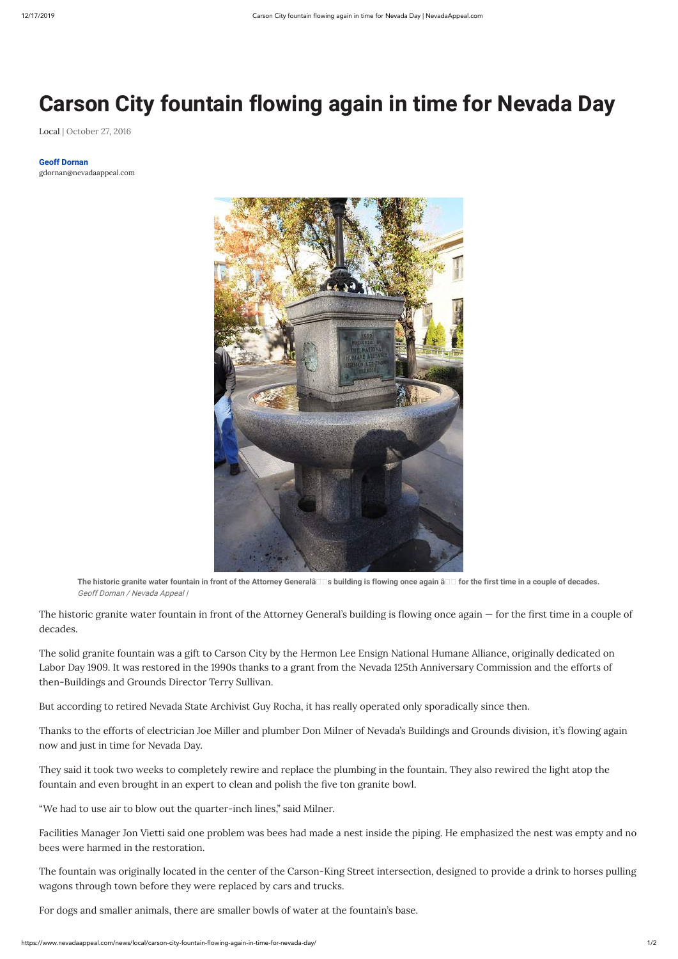# **Carson City fountain flowing again in time for Nevada Day**

The historic granite water fountain in front of the Attorney Generalâ□□s building is flowing once again â□□ for the first time in a couple of decades. Geoff Dornan / Nevada Appeal |

## **[Geoff Dornan](https://www.nevadaappeal.com/profile/geoff-dornan/)**

[gdornan@nevadaappeal.com](mailto:gdornan@nevadaappeal.com)



The historic granite water fountain in front of the Attorney General's building is flowing once again  $-$  for the first time in a couple of decades.

Thanks to the efforts of electrician Joe Miller and plumber Don Milner of Nevada's Buildings and Grounds division, it's flowing again now and just in time for Nevada Day.

They said it took two weeks to completely rewire and replace the plumbing in the fountain. They also rewired the light atop the fountain and even brought in an expert to clean and polish the five ton granite bowl.

The solid granite fountain was a gift to Carson City by the Hermon Lee Ensign National Humane Alliance, originally dedicated on Labor Day 1909. It was restored in the 1990s thanks to a grant from the Nevada 125th Anniversary Commission and the efforts of then-Buildings and Grounds Director Terry Sullivan.

But according to retired Nevada State Archivist Guy Rocha, it has really operated only sporadically since then.

"We had to use air to blow out the quarter-inch lines," said Milner.

Facilities Manager Jon Vietti said one problem was bees had made a nest inside the piping. He emphasized the nest was empty and no bees were harmed in the restoration.

The fountain was originally located in the center of the Carson-King Street intersection, designed to provide a drink to horses pulling wagons through town before they were replaced by cars and trucks.

For dogs and smaller animals, there are smaller bowls of water at the fountain's base.

[Local](https://www.nevadaappeal.com/recent-stories/local) | October 27, 2016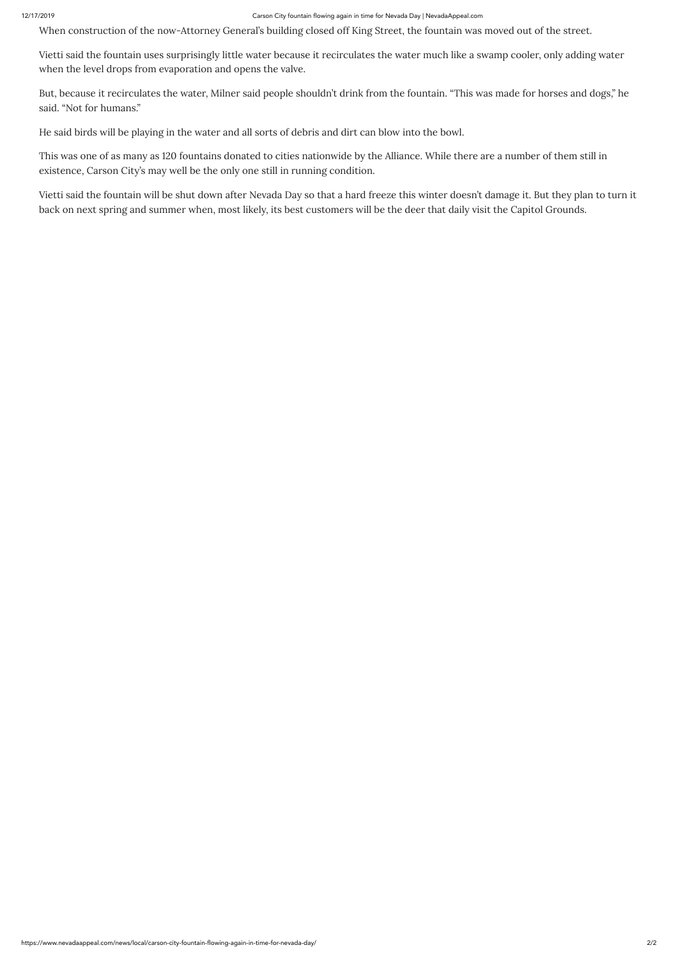# 12/17/2019 Carson City fountain flowing again in time for Nevada Day | NevadaAppeal.com

https://www.nevadaappeal.com/news/local/carson-city-fountain-flowing-again-in-time-for-nevada-day/ 2/2

When construction of the now-Attorney General's building closed off King Street, the fountain was moved out of the street.

Vietti said the fountain uses surprisingly little water because it recirculates the water much like a swamp cooler, only adding water when the level drops from evaporation and opens the valve.

But, because it recirculates the water, Milner said people shouldn't drink from the fountain. "This was made for horses and dogs," he said. "Not for humans."

He said birds will be playing in the water and all sorts of debris and dirt can blow into the bowl.

This was one of as many as 120 fountains donated to cities nationwide by the Alliance. While there are a number of them still in existence, Carson City's may well be the only one still in running condition.

Vietti said the fountain will be shut down after Nevada Day so that a hard freeze this winter doesn't damage it. But they plan to turn it back on next spring and summer when, most likely, its best customers will be the deer that daily visit the Capitol Grounds.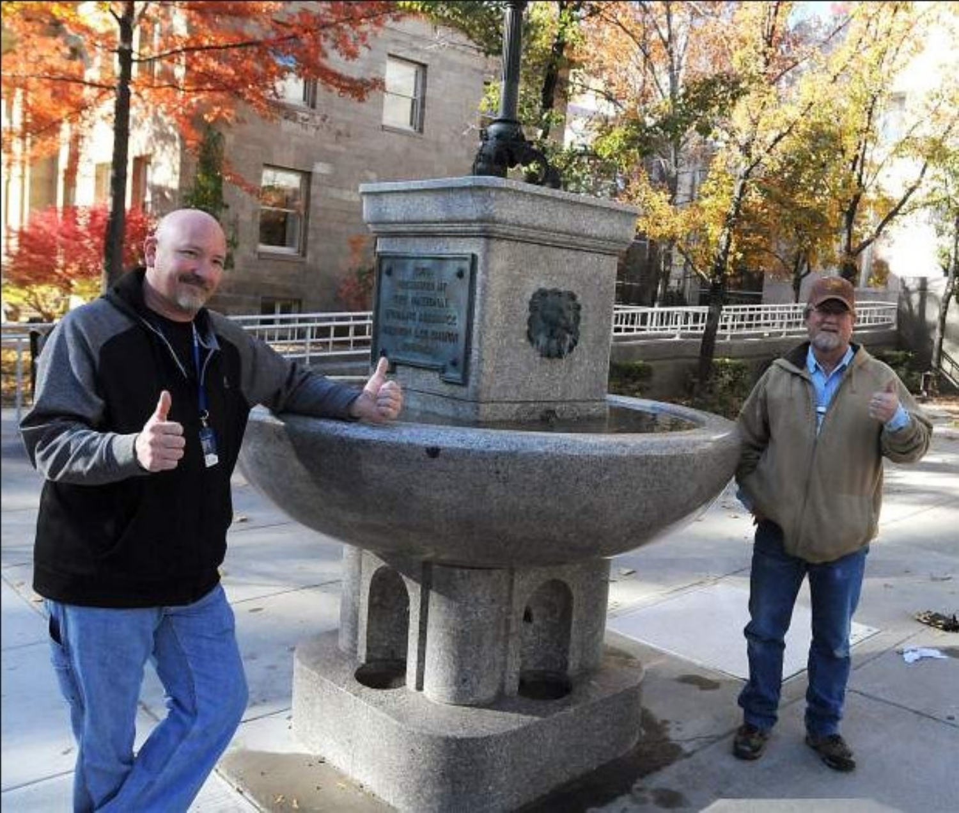